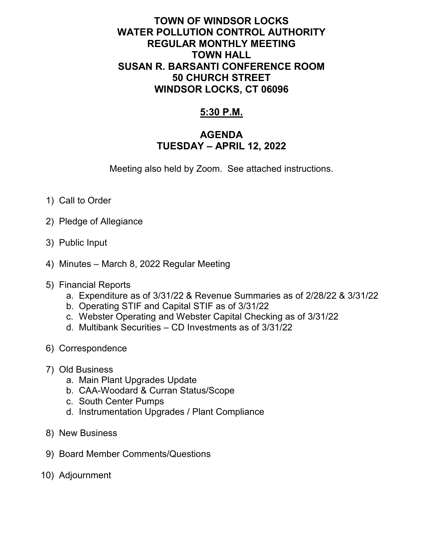## **TOWN OF WINDSOR LOCKS WATER POLLUTION CONTROL AUTHORITY REGULAR MONTHLY MEETING TOWN HALL SUSAN R. BARSANTI CONFERENCE ROOM 50 CHURCH STREET WINDSOR LOCKS, CT 06096**

## **5:30 P.M.**

## **AGENDA TUESDAY – APRIL 12, 2022**

Meeting also held by Zoom. See attached instructions.

- 1) Call to Order
- 2) Pledge of Allegiance
- 3) Public Input
- 4) Minutes March 8, 2022 Regular Meeting
- 5) Financial Reports
	- a. Expenditure as of 3/31/22 & Revenue Summaries as of 2/28/22 & 3/31/22
	- b. Operating STIF and Capital STIF as of 3/31/22
	- c. Webster Operating and Webster Capital Checking as of 3/31/22
	- d. Multibank Securities CD Investments as of 3/31/22
- 6) Correspondence
- 7) Old Business
	- a. Main Plant Upgrades Update
	- b. CAA-Woodard & Curran Status/Scope
	- c. South Center Pumps
	- d. Instrumentation Upgrades / Plant Compliance
- 8) New Business
- 9) Board Member Comments/Questions
- 10) Adjournment